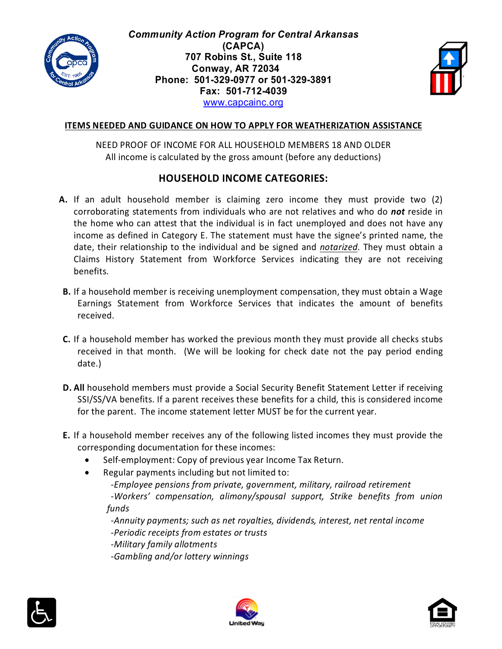

*Community Action Program for Central Arkansas* **(CAPCA) 707 Robins St., Suite 118 Conway, AR 72034 Phone: 501-329-0977 or 501-329-3891 Fax: 501-712-4039** [www.capcainc.org](http://www.capcainc.org/)



#### **ITEMS NEEDED AND GUIDANCE ON HOW TO APPLY FOR WEATHERIZATION ASSISTANCE**

NEED PROOF OF INCOME FOR ALL HOUSEHOLD MEMBERS 18 AND OLDER All income is calculated by the gross amount (before any deductions)

#### **HOUSEHOLD INCOME CATEGORIES:**

- **A.** If an adult household member is claiming zero income they must provide two (2) corroborating statements from individuals who are not relatives and who do *not* reside in the home who can attest that the individual is in fact unemployed and does not have any income as defined in Category E. The statement must have the signee's printed name, the date, their relationship to the individual and be signed and *notarized*. They must obtain a Claims History Statement from Workforce Services indicating they are not receiving benefits.
- **B.** If a household member is receiving unemployment compensation, they must obtain a Wage Earnings Statement from Workforce Services that indicates the amount of benefits received.
- **C.** If a household member has worked the previous month they must provide all checks stubs received in that month. (We will be looking for check date not the pay period ending date.)
- **D. All** household members must provide a Social Security Benefit Statement Letter if receiving SSI/SS/VA benefits. If a parent receives these benefits for a child, this is considered income for the parent. The income statement letter MUST be for the current year.
- **E.** If a household member receives any of the following listed incomes they must provide the corresponding documentation for these incomes:
	- Self-employment: Copy of previous year Income Tax Return.
	- Regular payments including but not limited to:
		- *-Employee pensions from private, government, military, railroad retirement*

*-Workers' compensation, alimony/spousal support, Strike benefits from union funds*

*-Annuity payments; such as net royalties, dividends, interest, net rental income -Periodic receipts from estates or trusts*

*-Military family allotments*

*-Gambling and/or lottery winnings*





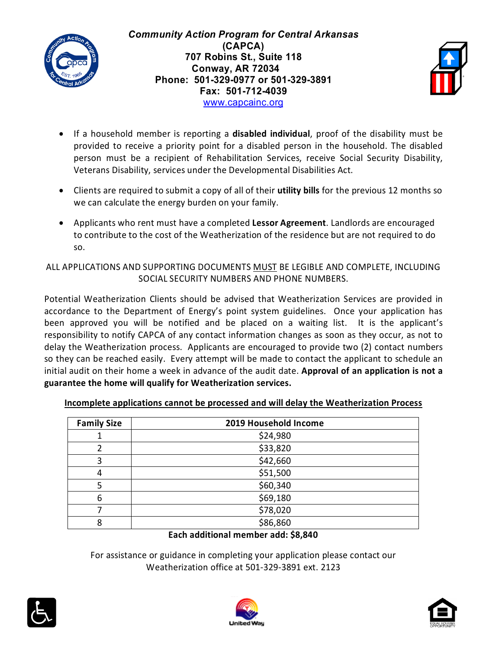

*Community Action Program for Central Arkansas* **(CAPCA) 707 Robins St., Suite 118 Conway, AR 72034 Phone: 501-329-0977 or 501-329-3891 Fax: 501-712-4039** [www.capcainc.org](http://www.capcainc.org/)



- If a household member is reporting a **disabled individual**, proof of the disability must be provided to receive a priority point for a disabled person in the household. The disabled person must be a recipient of Rehabilitation Services, receive Social Security Disability, Veterans Disability, services under the Developmental Disabilities Act.
- Clients are required to submit a copy of all of their **utility bills** for the previous 12 months so we can calculate the energy burden on your family.
- Applicants who rent must have a completed **Lessor Agreement**. Landlords are encouraged to contribute to the cost of the Weatherization of the residence but are not required to do so.

## ALL APPLICATIONS AND SUPPORTING DOCUMENTS MUST BE LEGIBLE AND COMPLETE, INCLUDING SOCIAL SECURITY NUMBERS AND PHONE NUMBERS.

Potential Weatherization Clients should be advised that Weatherization Services are provided in accordance to the Department of Energy's point system guidelines. Once your application has been approved you will be notified and be placed on a waiting list. It is the applicant's responsibility to notify CAPCA of any contact information changes as soon as they occur, as not to delay the Weatherization process. Applicants are encouraged to provide two (2) contact numbers so they can be reached easily. Every attempt will be made to contact the applicant to schedule an initial audit on their home a week in advance of the audit date. **Approval of an application is not a guarantee the home will qualify for Weatherization services.**

| <b>Family Size</b> | 2019 Household Income |
|--------------------|-----------------------|
|                    | \$24,980              |
| 2                  | \$33,820              |
| 3                  | \$42,660              |
| 4                  | \$51,500              |
| 5                  | \$60,340              |
| 6                  | \$69,180              |
|                    | \$78,020              |
| 8                  | \$86,860              |

### **Incomplete applications cannot be processed and will delay the Weatherization Process**

### **Each additional member add: \$8,840**

For assistance or guidance in completing your application please contact our Weatherization office at 501-329-3891 ext. 2123





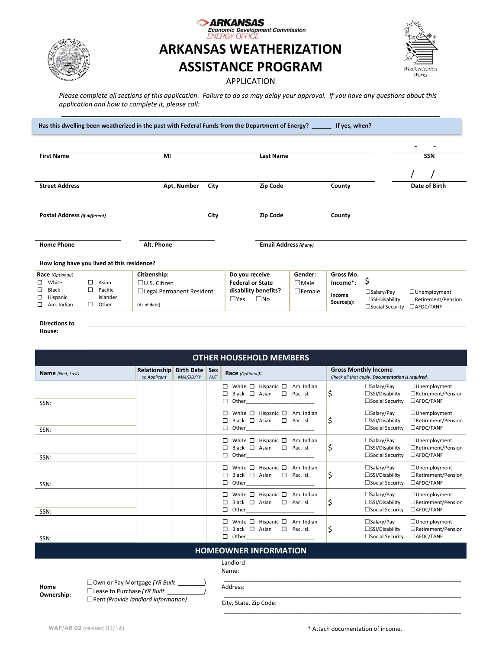

# Fi **ARKANSAS WEATHERIZATION ASSISTANCE PROGRAM**

ICAC mic Development Commission

| Weatherization<br>Works |  |
|-------------------------|--|

*Please complete all sections of this application. Failure to do so may delay your approval. If you have any questions about this application and how to complete it, please call:* 

*\_\_\_\_\_\_\_\_\_\_\_\_\_\_\_\_\_\_\_\_\_\_\_\_\_\_\_\_\_\_\_\_\_\_\_\_\_\_\_\_\_\_\_\_\_\_\_\_\_\_\_\_\_\_\_\_\_\_\_\_\_\_\_\_\_\_\_\_\_\_\_\_\_\_\_\_\_\_\_\_\_\_\_\_\_\_\_\_\_\_\_\_\_\_\_\_\_\_\_\_\_\_\_\_*

APPLICATION

- - **First Name MI Last Name SSN** / / **Street Address Apt. Number City Zip Code County Date of Birth Postal Address** *(if different)* **City Zip Code County Home Phone Alt. Phone Email Address***(if any)* \_\_\_\_\_\_\_\_\_\_\_\_\_\_\_\_\_\_\_\_\_\_\_\_\_\_\_\_\_\_\_\_\_\_\_\_\_\_\_\_\_\_\_\_\_\_\_\_\_\_\_\_\_\_\_\_\_\_\_\_\_\_\_\_\_\_\_\_\_\_\_\_\_\_\_\_\_\_\_\_\_\_\_\_\_\_\_\_\_\_\_\_\_\_\_\_\_\_\_\_\_\_\_\_\_\_\_\_\_\_\_\_\_\_\_\_\_\_\_\_\_\_\_\_\_\_\_\_\_\_\_\_\_\_\_\_\_\_\_\_\_\_\_\_\_\_\_\_\_\_\_\_\_\_\_\_\_\_\_\_\_\_\_\_\_\_\_\_\_\_\_\_\_\_  **How long have you lived at this residence? Race** *(Optional)***:**  $\square$  Asian ☐ Black ☐ Pacific Hispanic Islander ☐ Am. Indian ☐ Other **Citizenship:** ☐U.S. Citizen ☐Legal Permanent Resident (As of date)\_\_\_\_\_\_\_\_\_\_\_\_\_\_\_\_\_\_\_\_\_\_\_\_ **Do you receive Federal or State disability benefits?** ☐Yes ☐No **Gender:** ☐Male ☐Female **Gross Mo. Income\*:** \$ **Income Source(s): □Salary/Pay** □Unemployment<br>□SSI-Disability □Retirement/Pen □Retirement/Pension<br>□AFDC/TANF  $\square$ Social Security **Has this dwelling been weatherized in the past with Federal Funds from the Department of Energy? \_\_\_\_\_\_ If yes, when? \_\_\_\_\_\_\_\_\_\_\_\_\_\_\_\_\_\_\_\_\_\_\_\_\_\_\_\_\_**

**Directions to** 

**House:**

| <b>OTHER HOUSEHOLD MEMBERS</b>                                 |                              |                               |                   |                                                                                                                                                                                                                                                                                                                                                     |                                                                                                                                                |  |  |
|----------------------------------------------------------------|------------------------------|-------------------------------|-------------------|-----------------------------------------------------------------------------------------------------------------------------------------------------------------------------------------------------------------------------------------------------------------------------------------------------------------------------------------------------|------------------------------------------------------------------------------------------------------------------------------------------------|--|--|
| Name (First, Last)                                             | Relationship<br>to Applicant | <b>Birth Date</b><br>MM/DD/YY | <b>Sex</b><br>M/F | Race (Optional):                                                                                                                                                                                                                                                                                                                                    | <b>Gross Monthly Income</b><br>Check all that apply. Documentation is required.                                                                |  |  |
| SSN:                                                           |                              |                               |                   | White $\square$ Hispanic $\square$<br>□<br>Am. Indian<br>Black $\Box$ Asian<br>$\Box$<br>□<br>Pac. Isl.<br>$\Box$<br>Other the contract of the contract of the contract of the contract of the contract of the contract of the contract of the contract of the contract of the contract of the contract of the contract of the contract of the cont | $\square$ Salary/Pay<br>$\Box$ Unemployment<br>\$<br>□Retirement/Pension<br>$\square$ SSI/Disability<br>$\Box$ Social Security<br>□AFDC/TANF   |  |  |
| SSN:                                                           |                              |                               |                   | White $\square$<br>Hispanic $\square$<br>$\Box$<br>Am. Indian<br>Black $\Box$ Asian<br>$\Box$<br>▯<br>Pac. Isl.<br>$\Box$<br>Other                                                                                                                                                                                                                  | $\square$ Salary/Pay<br>$\Box$ Unemployment<br>Ś<br>□SSI/Disability<br>□Retirement/Pension<br>□ Social Security<br>□AFDC/TANF                  |  |  |
| SSN:                                                           |                              |                               |                   | White $\Box$<br>Hispanic $\Box$<br>$\Box$<br>Am. Indian<br>Black $\Box$ Asian<br>$\Box$<br>▯◻<br>Pac. Isl.<br>$\Box$<br>Other                                                                                                                                                                                                                       | $\square$ Salary/Pay<br>$\Box$ Unemployment<br>\$<br>$\square$ SSI/Disability<br>□Retirement/Pension<br>□ Social Security<br>□AFDC/TANF        |  |  |
| SSN:                                                           |                              |                               |                   | White $\square$<br>Hispanic $\Box$<br>$\Box$<br>Am. Indian<br>Black $\Box$ Asian<br>$\Box$<br>$\Box$<br>Pac. Isl.<br>$\Box$<br>Other                                                                                                                                                                                                                | $\square$ Salary/Pay<br>$\Box$ Unemployment<br>Ś<br>□Retirement/Pension<br>$\square$ SSI/Disability<br>$\square$ Social Security<br>□AFDC/TANF |  |  |
| SSN:                                                           |                              |                               |                   | White $\square$<br>Hispanic $\square$<br>$\Box$<br>Am. Indian<br>Black $\Box$ Asian<br>$\Box$ Pac. Isl.<br>□<br>$\Box$<br>Other                                                                                                                                                                                                                     | $\square$ Salary/Pay<br>$\Box$ Unemployment<br>\$<br>□Retirement/Pension<br>$\square$ SSI/Disability<br>□ Social Security<br>□AFDC/TANF        |  |  |
| SSN:                                                           |                              |                               |                   | White $\square$<br>Hispanic $\Box$<br>□<br>Am. Indian<br>Black $\Box$ Asian<br>$\Box$<br>$\Box$<br>Pac. Isl.<br>□<br>Other                                                                                                                                                                                                                          | $\square$ Salary/Pay<br>$\Box$ Unemployment<br>\$<br>□SSI/Disability<br>□Retirement/Pension<br>□Social Security<br>□AFDC/TANF                  |  |  |
| <b>HOMEOWNER INFORMATION</b>                                   |                              |                               |                   |                                                                                                                                                                                                                                                                                                                                                     |                                                                                                                                                |  |  |
| Landlord<br>Name:<br>$\Box$ Outros of Bould Artsonal (VD Built |                              |                               |                   |                                                                                                                                                                                                                                                                                                                                                     |                                                                                                                                                |  |  |

⊥Own or Pay Mortgage *(YR B* □ Lease to Purchase *(YR Built* ☐Rent*(Provide landlord information)*

Address:

City, State, Zip Code:

\_\_\_\_\_\_\_\_\_\_\_\_\_\_\_\_\_\_\_\_\_\_\_\_\_\_\_\_\_\_\_\_\_\_\_\_\_\_\_\_\_\_\_\_\_\_\_\_\_\_\_\_\_\_\_\_\_\_\_\_\_\_\_\_\_\_\_\_\_\_\_\_\_

\_\_\_\_\_\_\_\_\_\_\_\_\_\_\_\_\_\_\_\_\_\_\_\_\_\_\_\_\_\_\_\_\_\_\_\_\_\_\_\_\_\_\_\_\_\_\_\_\_\_\_\_\_\_\_\_\_\_\_\_\_\_\_\_\_\_\_\_\_\_\_\_\_